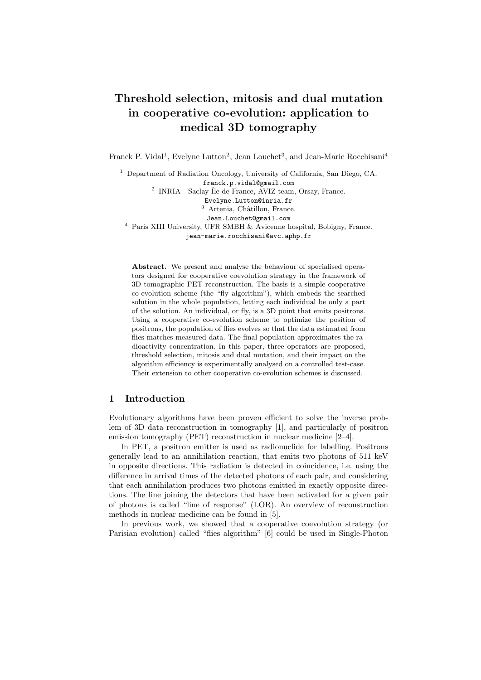# Threshold selection, mitosis and dual mutation in cooperative co-evolution: application to medical 3D tomography

Franck P. Vidal<sup>1</sup>, Evelyne Lutton<sup>2</sup>, Jean Louchet<sup>3</sup>, and Jean-Marie Rocchisani<sup>4</sup>

<sup>1</sup> Department of Radiation Oncology, University of California, San Diego, CA. franck.p.vidal@gmail.com <sup>2</sup> INRIA - Saclay-Île-de-France, AVIZ team, Orsay, France. Evelyne.Lutton@inria.fr  $3$  Artenia, Châtillon, France. Jean.Louchet@gmail.com <sup>4</sup> Paris XIII University, UFR SMBH & Avicenne hospital, Bobigny, France. jean-marie.rocchisani@avc.aphp.fr

Abstract. We present and analyse the behaviour of specialised operators designed for cooperative coevolution strategy in the framework of 3D tomographic PET reconstruction. The basis is a simple cooperative co-evolution scheme (the "fly algorithm"), which embeds the searched solution in the whole population, letting each individual be only a part of the solution. An individual, or fly, is a 3D point that emits positrons. Using a cooperative co-evolution scheme to optimize the position of positrons, the population of flies evolves so that the data estimated from flies matches measured data. The final population approximates the radioactivity concentration. In this paper, three operators are proposed, threshold selection, mitosis and dual mutation, and their impact on the algorithm efficiency is experimentally analysed on a controlled test-case. Their extension to other cooperative co-evolution schemes is discussed.

## 1 Introduction

Evolutionary algorithms have been proven efficient to solve the inverse problem of 3D data reconstruction in tomography [1], and particularly of positron emission tomography (PET) reconstruction in nuclear medicine [2–4].

In PET, a positron emitter is used as radionuclide for labelling. Positrons generally lead to an annihilation reaction, that emits two photons of 511 keV in opposite directions. This radiation is detected in coincidence, i.e. using the difference in arrival times of the detected photons of each pair, and considering that each annihilation produces two photons emitted in exactly opposite directions. The line joining the detectors that have been activated for a given pair of photons is called "line of response" (LOR). An overview of reconstruction methods in nuclear medicine can be found in [5].

In previous work, we showed that a cooperative coevolution strategy (or Parisian evolution) called "flies algorithm" [6] could be used in Single-Photon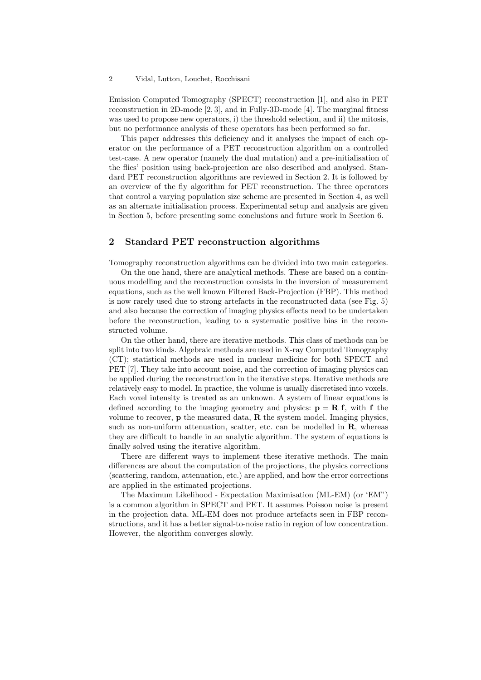#### 2 Vidal, Lutton, Louchet, Rocchisani

Emission Computed Tomography (SPECT) reconstruction [1], and also in PET reconstruction in 2D-mode [2, 3], and in Fully-3D-mode [4]. The marginal fitness was used to propose new operators, i) the threshold selection, and ii) the mitosis, but no performance analysis of these operators has been performed so far.

This paper addresses this deficiency and it analyses the impact of each operator on the performance of a PET reconstruction algorithm on a controlled test-case. A new operator (namely the dual mutation) and a pre-initialisation of the flies' position using back-projection are also described and analysed. Standard PET reconstruction algorithms are reviewed in Section 2. It is followed by an overview of the fly algorithm for PET reconstruction. The three operators that control a varying population size scheme are presented in Section 4, as well as an alternate initialisation process. Experimental setup and analysis are given in Section 5, before presenting some conclusions and future work in Section 6.

## 2 Standard PET reconstruction algorithms

Tomography reconstruction algorithms can be divided into two main categories.

On the one hand, there are analytical methods. These are based on a continuous modelling and the reconstruction consists in the inversion of measurement equations, such as the well known Filtered Back-Projection (FBP). This method is now rarely used due to strong artefacts in the reconstructed data (see Fig. 5) and also because the correction of imaging physics effects need to be undertaken before the reconstruction, leading to a systematic positive bias in the reconstructed volume.

On the other hand, there are iterative methods. This class of methods can be split into two kinds. Algebraic methods are used in X-ray Computed Tomography (CT); statistical methods are used in nuclear medicine for both SPECT and PET [7]. They take into account noise, and the correction of imaging physics can be applied during the reconstruction in the iterative steps. Iterative methods are relatively easy to model. In practice, the volume is usually discretised into voxels. Each voxel intensity is treated as an unknown. A system of linear equations is defined according to the imaging geometry and physics:  $p = R f$ , with f the volume to recover,  $\bf{p}$  the measured data,  $\bf{R}$  the system model. Imaging physics, such as non-uniform attenuation, scatter, etc. can be modelled in **, whereas** they are difficult to handle in an analytic algorithm. The system of equations is finally solved using the iterative algorithm.

There are different ways to implement these iterative methods. The main differences are about the computation of the projections, the physics corrections (scattering, random, attenuation, etc.) are applied, and how the error corrections are applied in the estimated projections.

The Maximum Likelihood - Expectation Maximisation (ML-EM) (or 'EM") is a common algorithm in SPECT and PET. It assumes Poisson noise is present in the projection data. ML-EM does not produce artefacts seen in FBP reconstructions, and it has a better signal-to-noise ratio in region of low concentration. However, the algorithm converges slowly.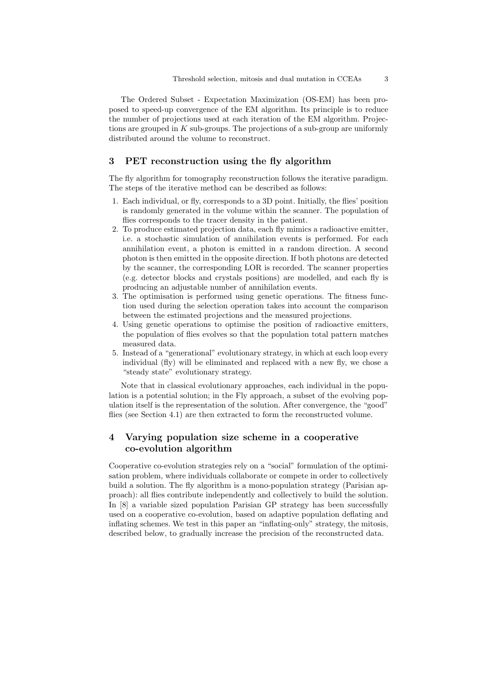The Ordered Subset - Expectation Maximization (OS-EM) has been proposed to speed-up convergence of the EM algorithm. Its principle is to reduce the number of projections used at each iteration of the EM algorithm. Projections are grouped in  $K$  sub-groups. The projections of a sub-group are uniformly distributed around the volume to reconstruct.

## 3 PET reconstruction using the fly algorithm

The fly algorithm for tomography reconstruction follows the iterative paradigm. The steps of the iterative method can be described as follows:

- 1. Each individual, or fly, corresponds to a 3D point. Initially, the flies' position is randomly generated in the volume within the scanner. The population of flies corresponds to the tracer density in the patient.
- 2. To produce estimated projection data, each fly mimics a radioactive emitter, i.e. a stochastic simulation of annihilation events is performed. For each annihilation event, a photon is emitted in a random direction. A second photon is then emitted in the opposite direction. If both photons are detected by the scanner, the corresponding LOR is recorded. The scanner properties (e.g. detector blocks and crystals positions) are modelled, and each fly is producing an adjustable number of annihilation events.
- 3. The optimisation is performed using genetic operations. The fitness function used during the selection operation takes into account the comparison between the estimated projections and the measured projections.
- 4. Using genetic operations to optimise the position of radioactive emitters, the population of flies evolves so that the population total pattern matches measured data.
- 5. Instead of a "generational" evolutionary strategy, in which at each loop every individual (fly) will be eliminated and replaced with a new fly, we chose a "steady state" evolutionary strategy.

Note that in classical evolutionary approaches, each individual in the population is a potential solution; in the Fly approach, a subset of the evolving population itself is the representation of the solution. After convergence, the "good" flies (see Section 4.1) are then extracted to form the reconstructed volume.

# 4 Varying population size scheme in a cooperative co-evolution algorithm

Cooperative co-evolution strategies rely on a "social" formulation of the optimisation problem, where individuals collaborate or compete in order to collectively build a solution. The fly algorithm is a mono-population strategy (Parisian approach): all flies contribute independently and collectively to build the solution. In [8] a variable sized population Parisian GP strategy has been successfully used on a cooperative co-evolution, based on adaptive population deflating and inflating schemes. We test in this paper an "inflating-only" strategy, the mitosis, described below, to gradually increase the precision of the reconstructed data.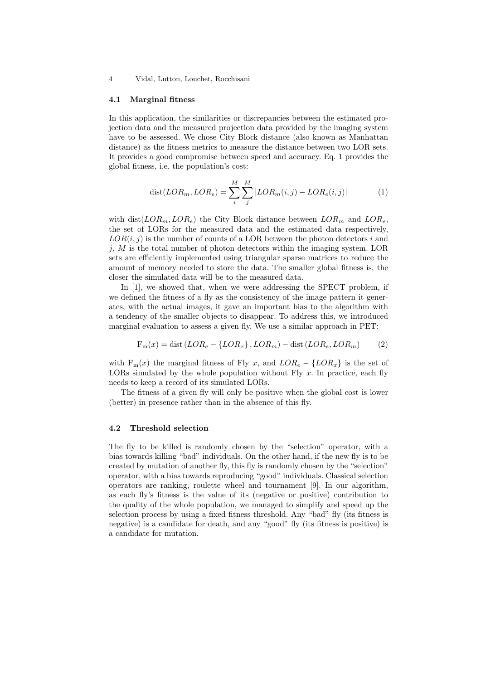#### 4 Vidal, Lutton, Louchet, Rocchisani

#### 4.1 Marginal fitness

In this application, the similarities or discrepancies between the estimated projection data and the measured projection data provided by the imaging system have to be assessed. We chose City Block distance (also known as Manhattan distance) as the fitness metrics to measure the distance between two LOR sets. It provides a good compromise between speed and accuracy. Eq. 1 provides the global fitness, i.e. the population's cost:

$$
dist(LOR_m, LOR_e) = \sum_{i}^{M} \sum_{j}^{M} |LOR_m(i, j) - LOR_e(i, j)|
$$
 (1)

with dist( $LOR_m, LOR_e$ ) the City Block distance between  $LOR_m$  and  $LOR_e$ , the set of LORs for the measured data and the estimated data respectively,  $LOR(i, j)$  is the number of counts of a LOR between the photon detectors i and j,  $M$  is the total number of photon detectors within the imaging system. LOR sets are efficiently implemented using triangular sparse matrices to reduce the amount of memory needed to store the data. The smaller global fitness is, the closer the simulated data will be to the measured data.

In [1], we showed that, when we were addressing the SPECT problem, if we defined the fitness of a fly as the consistency of the image pattern it generates, with the actual images, it gave an important bias to the algorithm with a tendency of the smaller objects to disappear. To address this, we introduced marginal evaluation to assess a given fly. We use a similar approach in PET:

$$
F_m(x) = \text{dist}\left(LOR_e - \{LOR_x\}, LOR_m\right) - \text{dist}\left(LOR_e, LOR_m\right) \tag{2}
$$

with  $F_m(x)$  the marginal fitness of Fly x, and  $LOR_e - \{LOR_x\}$  is the set of LORs simulated by the whole population without Fly  $x$ . In practice, each fly needs to keep a record of its simulated LORs.

The fitness of a given fly will only be positive when the global cost is lower (better) in presence rather than in the absence of this fly.

#### 4.2 Threshold selection

The fly to be killed is randomly chosen by the "selection" operator, with a bias towards killing "bad" individuals. On the other hand, if the new fly is to be created by mutation of another fly, this fly is randomly chosen by the "selection" operator, with a bias towards reproducing "good" individuals. Classical selection operators are ranking, roulette wheel and tournament [9]. In our algorithm, as each fly's fitness is the value of its (negative or positive) contribution to the quality of the whole population, we managed to simplify and speed up the selection process by using a fixed fitness threshold. Any "bad" fly (its fitness is negative) is a candidate for death, and any "good" fly (its fitness is positive) is a candidate for mutation.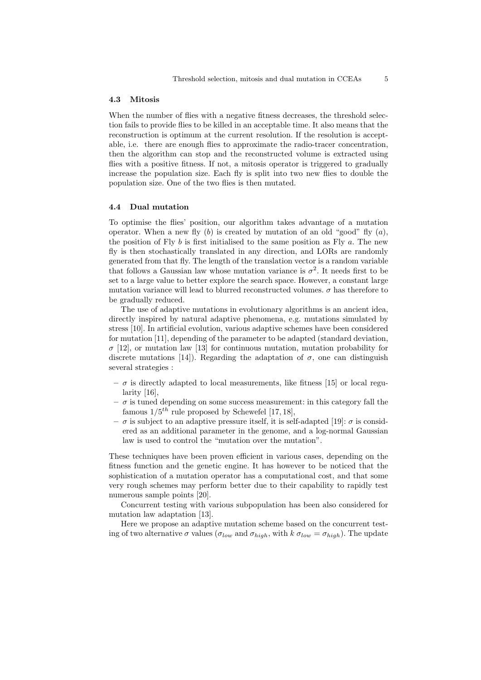#### 4.3 Mitosis

When the number of flies with a negative fitness decreases, the threshold selection fails to provide flies to be killed in an acceptable time. It also means that the reconstruction is optimum at the current resolution. If the resolution is acceptable, i.e. there are enough flies to approximate the radio-tracer concentration, then the algorithm can stop and the reconstructed volume is extracted using flies with a positive fitness. If not, a mitosis operator is triggered to gradually increase the population size. Each fly is split into two new flies to double the population size. One of the two flies is then mutated.

## 4.4 Dual mutation

To optimise the flies' position, our algorithm takes advantage of a mutation operator. When a new fly  $(b)$  is created by mutation of an old "good" fly  $(a)$ , the position of Fly  $b$  is first initialised to the same position as Fly  $a$ . The new fly is then stochastically translated in any direction, and LORs are randomly generated from that fly. The length of the translation vector is a random variable that follows a Gaussian law whose mutation variance is  $\sigma^2$ . It needs first to be set to a large value to better explore the search space. However, a constant large mutation variance will lead to blurred reconstructed volumes.  $\sigma$  has therefore to be gradually reduced.

The use of adaptive mutations in evolutionary algorithms is an ancient idea, directly inspired by natural adaptive phenomena, e.g. mutations simulated by stress [10]. In artificial evolution, various adaptive schemes have been considered for mutation [11], depending of the parameter to be adapted (standard deviation,  $\sigma$  [12], or mutation law [13] for continuous mutation, mutation probability for discrete mutations [14]). Regarding the adaptation of  $\sigma$ , one can distinguish several strategies :

- $-\sigma$  is directly adapted to local measurements, like fitness [15] or local regularity [16],
- $-\sigma$  is tuned depending on some success measurement: in this category fall the famous  $1/5^{th}$  rule proposed by Schewefel [17, 18],
- $\sigma$  is subject to an adaptive pressure itself, it is self-adapted [19]:  $\sigma$  is considered as an additional parameter in the genome, and a log-normal Gaussian law is used to control the "mutation over the mutation".

These techniques have been proven efficient in various cases, depending on the fitness function and the genetic engine. It has however to be noticed that the sophistication of a mutation operator has a computational cost, and that some very rough schemes may perform better due to their capability to rapidly test numerous sample points [20].

Concurrent testing with various subpopulation has been also considered for mutation law adaptation [13].

Here we propose an adaptive mutation scheme based on the concurrent testing of two alternative  $\sigma$  values ( $\sigma_{low}$  and  $\sigma_{high}$ , with  $k \sigma_{low} = \sigma_{high}$ ). The update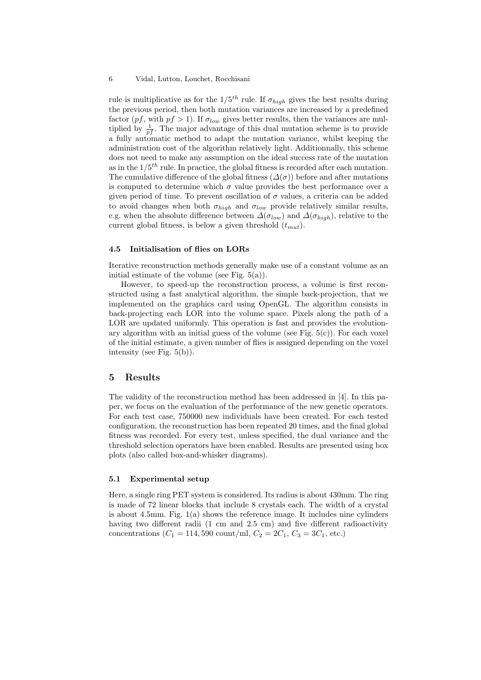rule is multiplicative as for the  $1/5^{th}$  rule. If  $\sigma_{high}$  gives the best results during the previous period, then both mutation variances are increased by a predefined factor (pf, with  $pf > 1$ ). If  $\sigma_{low}$  gives better results, then the variances are multiplied by  $\frac{1}{pf}$ . The major advantage of this dual mutation scheme is to provide a fully automatic method to adapt the mutation variance, whilst keeping the administration cost of the algorithm relatively light. Additionnally, this scheme does not need to make any assumption on the ideal success rate of the mutation as in the  $1/5<sup>th</sup>$  rule. In practice, the global fitness is recorded after each mutation. The cumulative difference of the global fitness  $(\Delta(\sigma))$  before and after mutations is computed to determine which  $\sigma$  value provides the best performance over a given period of time. To prevent oscillation of  $\sigma$  values, a criteria can be added to avoid changes when both  $\sigma_{high}$  and  $\sigma_{low}$  provide relatively similar results, e.g. when the absolute difference between  $\Delta(\sigma_{low})$  and  $\Delta(\sigma_{high})$ , relative to the current global fitness, is below a given threshold  $(t_{mut})$ .

#### 4.5 Initialisation of flies on LORs

Iterative reconstruction methods generally make use of a constant volume as an initial estimate of the volume (see Fig. 5(a)).

However, to speed-up the reconstruction process, a volume is first reconstructed using a fast analytical algorithm, the simple back-projection, that we implemented on the graphics card using OpenGL. The algorithm consists in back-projecting each LOR into the volume space. Pixels along the path of a LOR are updated uniformly. This operation is fast and provides the evolutionary algorithm with an initial guess of the volume (see Fig.  $5(c)$ ). For each voxel of the initial estimate, a given number of flies is assigned depending on the voxel intensity (see Fig. 5(b)).

## 5 Results

The validity of the reconstruction method has been addressed in [4]. In this paper, we focus on the evaluation of the performance of the new genetic operators. For each test case, 750000 new individuals have been created. For each tested configuration, the reconstruction has been repeated 20 times, and the final global fitness was recorded. For every test, unless specified, the dual variance and the threshold selection operators have been enabled. Results are presented using box plots (also called box-and-whisker diagrams).

#### 5.1 Experimental setup

Here, a single ring PET system is considered. Its radius is about 430mm. The ring is made of 72 linear blocks that include 8 crystals each. The width of a crystal is about 4.5mm. Fig. 1(a) shows the reference image. It includes nine cylinders having two different radii (1 cm and 2.5 cm) and five different radioactivity concentrations ( $C_1 = 114,590$  count/ml,  $C_2 = 2C_1, C_3 = 3C_1,$  etc.)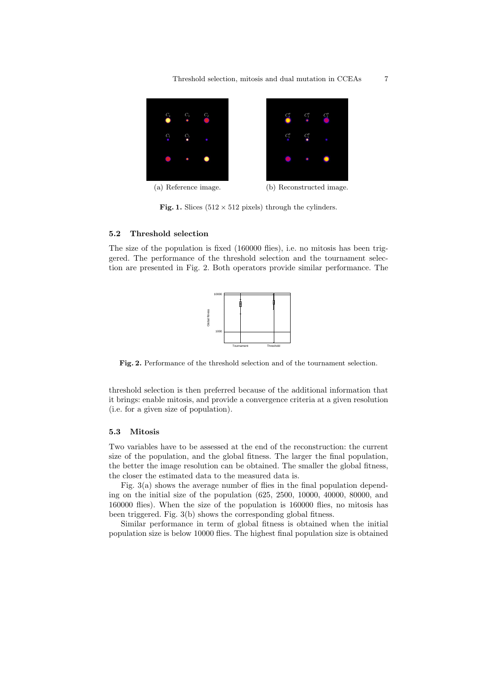Threshold selection, mitosis and dual mutation in CCEAs 7



Fig. 1. Slices (512  $\times$  512 pixels) through the cylinders.

## 5.2 Threshold selection

The size of the population is fixed (160000 flies), i.e. no mitosis has been triggered. The performance of the threshold selection and the tournament selection are presented in Fig. 2. Both operators provide similar performance. The



Fig. 2. Performance of the threshold selection and of the tournament selection.

threshold selection is then preferred because of the additional information that it brings: enable mitosis, and provide a convergence criteria at a given resolution (i.e. for a given size of population).

#### 5.3 Mitosis

Two variables have to be assessed at the end of the reconstruction: the current size of the population, and the global fitness. The larger the final population, the better the image resolution can be obtained. The smaller the global fitness, the closer the estimated data to the measured data is.

Fig. 3(a) shows the average number of flies in the final population depending on the initial size of the population (625, 2500, 10000, 40000, 80000, and 160000 flies). When the size of the population is 160000 flies, no mitosis has been triggered. Fig. 3(b) shows the corresponding global fitness.

Similar performance in term of global fitness is obtained when the initial population size is below 10000 flies. The highest final population size is obtained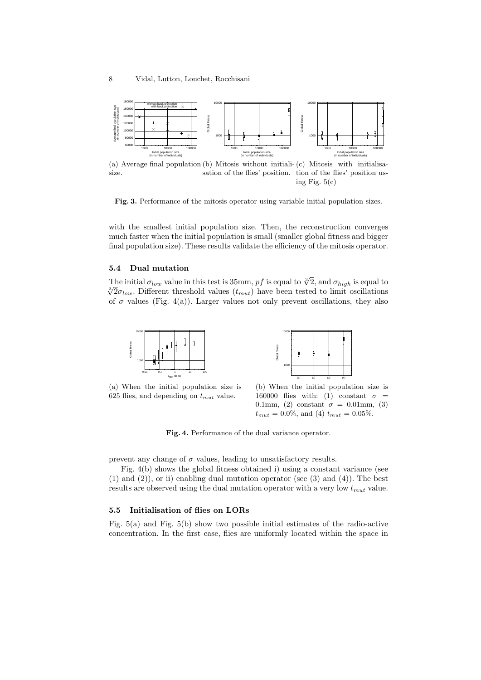

(a) Average final population (b) Mitosis without initiali-(c) Mitosis with initialisasize. sation of the flies' position. tion of the flies' position using Fig.  $5(c)$ 

Fig. 3. Performance of the mitosis operator using variable initial population sizes.

with the smallest initial population size. Then, the reconstruction converges much faster when the initial population is small (smaller global fitness and bigger final population size). These results validate the efficiency of the mitosis operator.

#### 5.4 Dual mutation

The initial  $\sigma_{low}$  value in this test is 35mm, pf is equal to  $\sqrt[3]{2}$ , and  $\sigma_{high}$  is equal to  $\sqrt[3]{2}\sigma_{low}$ . Different threshold values  $(t_{mut})$  have been tested to limit oscillations of  $\sigma$  values (Fig. 4(a)). Larger values not only prevent oscillations, they also





(a) When the initial population size is 625 flies, and depending on  $t_{mut}$  value.



Fig. 4. Performance of the dual variance operator.

prevent any change of  $\sigma$  values, leading to unsatisfactory results.

Fig. 4(b) shows the global fitness obtained i) using a constant variance (see  $(1)$  and  $(2)$ , or ii) enabling dual mutation operator (see  $(3)$  and  $(4)$ ). The best results are observed using the dual mutation operator with a very low  $t_{mut}$  value.

## 5.5 Initialisation of flies on LORs

Fig. 5(a) and Fig. 5(b) show two possible initial estimates of the radio-active concentration. In the first case, flies are uniformly located within the space in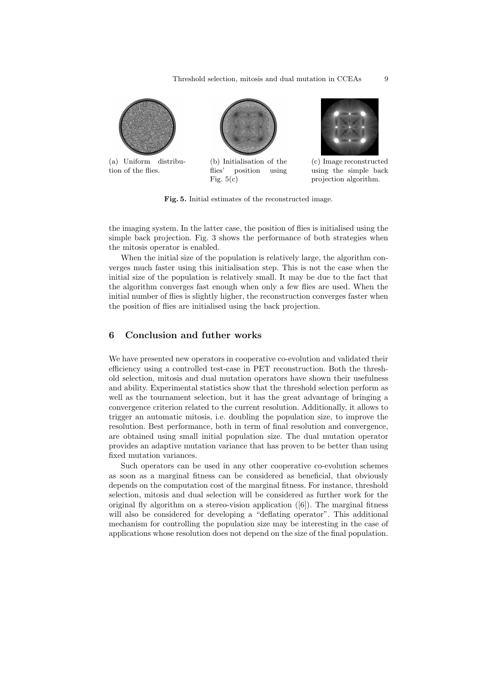

(a) Uniform distribution of the flies.



(b) Initialisation of the flies' position using Fig.  $5(c)$ 



(c) Image reconstructed using the simple back projection algorithm.

Fig. 5. Initial estimates of the reconstructed image.

the imaging system. In the latter case, the position of flies is initialised using the simple back projection. Fig. 3 shows the performance of both strategies when the mitosis operator is enabled.

When the initial size of the population is relatively large, the algorithm converges much faster using this initialisation step. This is not the case when the initial size of the population is relatively small. It may be due to the fact that the algorithm converges fast enough when only a few flies are used. When the initial number of flies is slightly higher, the reconstruction converges faster when the position of flies are initialised using the back projection.

## 6 Conclusion and futher works

We have presented new operators in cooperative co-evolution and validated their efficiency using a controlled test-case in PET reconstruction. Both the threshold selection, mitosis and dual mutation operators have shown their usefulness and ability. Experimental statistics show that the threshold selection perform as well as the tournament selection, but it has the great advantage of bringing a convergence criterion related to the current resolution. Additionally, it allows to trigger an automatic mitosis, i.e. doubling the population size, to improve the resolution. Best performance, both in term of final resolution and convergence, are obtained using small initial population size. The dual mutation operator provides an adaptive mutation variance that has proven to be better than using fixed mutation variances.

Such operators can be used in any other cooperative co-evolution schemes as soon as a marginal fitness can be considered as beneficial, that obviously depends on the computation cost of the marginal fitness. For instance, threshold selection, mitosis and dual selection will be considered as further work for the original fly algorithm on a stereo-vision application  $([6])$ . The marginal fitness will also be considered for developing a "deflating operator". This additional mechanism for controlling the population size may be interesting in the case of applications whose resolution does not depend on the size of the final population.